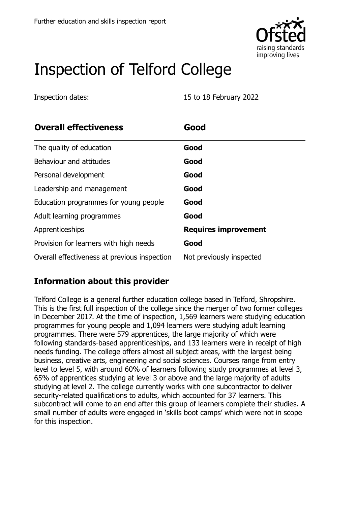

# Inspection of Telford College

Inspection dates: 15 to 18 February 2022

| <b>Overall effectiveness</b>                 | Good                        |
|----------------------------------------------|-----------------------------|
| The quality of education                     | Good                        |
| Behaviour and attitudes                      | Good                        |
| Personal development                         | Good                        |
| Leadership and management                    | Good                        |
| Education programmes for young people        | Good                        |
| Adult learning programmes                    | Good                        |
| Apprenticeships                              | <b>Requires improvement</b> |
| Provision for learners with high needs       | Good                        |
| Overall effectiveness at previous inspection | Not previously inspected    |

# **Information about this provider**

Telford College is a general further education college based in Telford, Shropshire. This is the first full inspection of the college since the merger of two former colleges in December 2017. At the time of inspection, 1,569 learners were studying education programmes for young people and 1,094 learners were studying adult learning programmes. There were 579 apprentices, the large majority of which were following standards-based apprenticeships, and 133 learners were in receipt of high needs funding. The college offers almost all subject areas, with the largest being business, creative arts, engineering and social sciences. Courses range from entry level to level 5, with around 60% of learners following study programmes at level 3, 65% of apprentices studying at level 3 or above and the large majority of adults studying at level 2. The college currently works with one subcontractor to deliver security-related qualifications to adults, which accounted for 37 learners. This subcontract will come to an end after this group of learners complete their studies. A small number of adults were engaged in 'skills boot camps' which were not in scope for this inspection.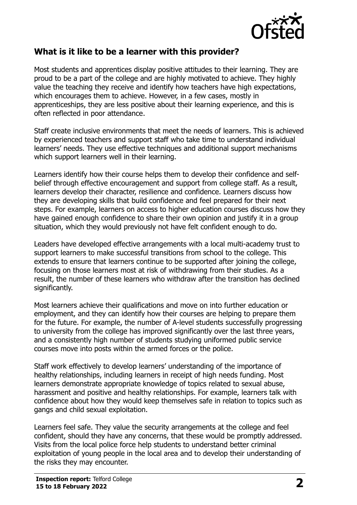

#### **What is it like to be a learner with this provider?**

Most students and apprentices display positive attitudes to their learning. They are proud to be a part of the college and are highly motivated to achieve. They highly value the teaching they receive and identify how teachers have high expectations, which encourages them to achieve. However, in a few cases, mostly in apprenticeships, they are less positive about their learning experience, and this is often reflected in poor attendance.

Staff create inclusive environments that meet the needs of learners. This is achieved by experienced teachers and support staff who take time to understand individual learners' needs. They use effective techniques and additional support mechanisms which support learners well in their learning.

Learners identify how their course helps them to develop their confidence and selfbelief through effective encouragement and support from college staff. As a result, learners develop their character, resilience and confidence. Learners discuss how they are developing skills that build confidence and feel prepared for their next steps. For example, learners on access to higher education courses discuss how they have gained enough confidence to share their own opinion and justify it in a group situation, which they would previously not have felt confident enough to do.

Leaders have developed effective arrangements with a local multi-academy trust to support learners to make successful transitions from school to the college. This extends to ensure that learners continue to be supported after joining the college, focusing on those learners most at risk of withdrawing from their studies. As a result, the number of these learners who withdraw after the transition has declined significantly.

Most learners achieve their qualifications and move on into further education or employment, and they can identify how their courses are helping to prepare them for the future. For example, the number of A-level students successfully progressing to university from the college has improved significantly over the last three years, and a consistently high number of students studying uniformed public service courses move into posts within the armed forces or the police.

Staff work effectively to develop learners' understanding of the importance of healthy relationships, including learners in receipt of high needs funding. Most learners demonstrate appropriate knowledge of topics related to sexual abuse, harassment and positive and healthy relationships. For example, learners talk with confidence about how they would keep themselves safe in relation to topics such as gangs and child sexual exploitation.

Learners feel safe. They value the security arrangements at the college and feel confident, should they have any concerns, that these would be promptly addressed. Visits from the local police force help students to understand better criminal exploitation of young people in the local area and to develop their understanding of the risks they may encounter.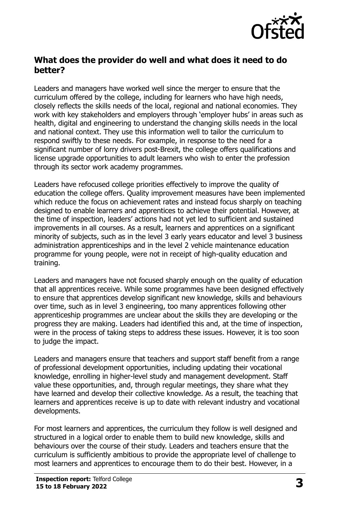

### **What does the provider do well and what does it need to do better?**

Leaders and managers have worked well since the merger to ensure that the curriculum offered by the college, including for learners who have high needs, closely reflects the skills needs of the local, regional and national economies. They work with key stakeholders and employers through 'employer hubs' in areas such as health, digital and engineering to understand the changing skills needs in the local and national context. They use this information well to tailor the curriculum to respond swiftly to these needs. For example, in response to the need for a significant number of lorry drivers post-Brexit, the college offers qualifications and license upgrade opportunities to adult learners who wish to enter the profession through its sector work academy programmes.

Leaders have refocused college priorities effectively to improve the quality of education the college offers. Quality improvement measures have been implemented which reduce the focus on achievement rates and instead focus sharply on teaching designed to enable learners and apprentices to achieve their potential. However, at the time of inspection, leaders' actions had not yet led to sufficient and sustained improvements in all courses. As a result, learners and apprentices on a significant minority of subjects, such as in the level 3 early years educator and level 3 business administration apprenticeships and in the level 2 vehicle maintenance education programme for young people, were not in receipt of high-quality education and training.

Leaders and managers have not focused sharply enough on the quality of education that all apprentices receive. While some programmes have been designed effectively to ensure that apprentices develop significant new knowledge, skills and behaviours over time, such as in level 3 engineering, too many apprentices following other apprenticeship programmes are unclear about the skills they are developing or the progress they are making. Leaders had identified this and, at the time of inspection, were in the process of taking steps to address these issues. However, it is too soon to judge the impact.

Leaders and managers ensure that teachers and support staff benefit from a range of professional development opportunities, including updating their vocational knowledge, enrolling in higher-level study and management development. Staff value these opportunities, and, through regular meetings, they share what they have learned and develop their collective knowledge. As a result, the teaching that learners and apprentices receive is up to date with relevant industry and vocational developments.

For most learners and apprentices, the curriculum they follow is well designed and structured in a logical order to enable them to build new knowledge, skills and behaviours over the course of their study. Leaders and teachers ensure that the curriculum is sufficiently ambitious to provide the appropriate level of challenge to most learners and apprentices to encourage them to do their best. However, in a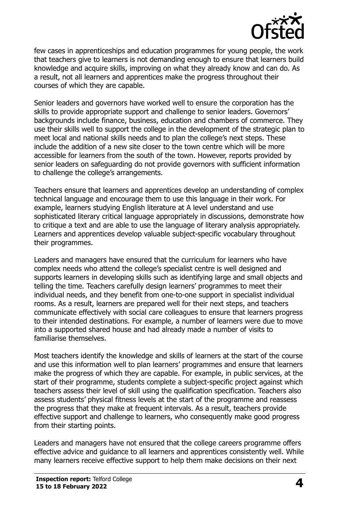

few cases in apprenticeships and education programmes for young people, the work that teachers give to learners is not demanding enough to ensure that learners build knowledge and acquire skills, improving on what they already know and can do. As a result, not all learners and apprentices make the progress throughout their courses of which they are capable.

Senior leaders and governors have worked well to ensure the corporation has the skills to provide appropriate support and challenge to senior leaders. Governors' backgrounds include finance, business, education and chambers of commerce. They use their skills well to support the college in the development of the strategic plan to meet local and national skills needs and to plan the college's next steps. These include the addition of a new site closer to the town centre which will be more accessible for learners from the south of the town. However, reports provided by senior leaders on safeguarding do not provide governors with sufficient information to challenge the college's arrangements.

Teachers ensure that learners and apprentices develop an understanding of complex technical language and encourage them to use this language in their work. For example, learners studying English literature at A level understand and use sophisticated literary critical language appropriately in discussions, demonstrate how to critique a text and are able to use the language of literary analysis appropriately. Learners and apprentices develop valuable subject-specific vocabulary throughout their programmes.

Leaders and managers have ensured that the curriculum for learners who have complex needs who attend the college's specialist centre is well designed and supports learners in developing skills such as identifying large and small objects and telling the time. Teachers carefully design learners' programmes to meet their individual needs, and they benefit from one-to-one support in specialist individual rooms. As a result, learners are prepared well for their next steps, and teachers communicate effectively with social care colleagues to ensure that learners progress to their intended destinations. For example, a number of learners were due to move into a supported shared house and had already made a number of visits to familiarise themselves.

Most teachers identify the knowledge and skills of learners at the start of the course and use this information well to plan learners' programmes and ensure that learners make the progress of which they are capable. For example, in public services, at the start of their programme, students complete a subject-specific project against which teachers assess their level of skill using the qualification specification. Teachers also assess students' physical fitness levels at the start of the programme and reassess the progress that they make at frequent intervals. As a result, teachers provide effective support and challenge to learners, who consequently make good progress from their starting points.

Leaders and managers have not ensured that the college careers programme offers effective advice and guidance to all learners and apprentices consistently well. While many learners receive effective support to help them make decisions on their next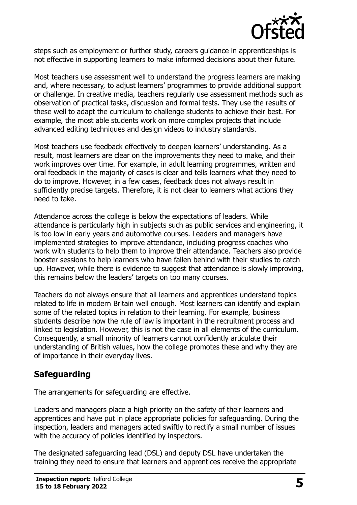

steps such as employment or further study, careers guidance in apprenticeships is not effective in supporting learners to make informed decisions about their future.

Most teachers use assessment well to understand the progress learners are making and, where necessary, to adjust learners' programmes to provide additional support or challenge. In creative media, teachers regularly use assessment methods such as observation of practical tasks, discussion and formal tests. They use the results of these well to adapt the curriculum to challenge students to achieve their best. For example, the most able students work on more complex projects that include advanced editing techniques and design videos to industry standards.

Most teachers use feedback effectively to deepen learners' understanding. As a result, most learners are clear on the improvements they need to make, and their work improves over time. For example, in adult learning programmes, written and oral feedback in the majority of cases is clear and tells learners what they need to do to improve. However, in a few cases, feedback does not always result in sufficiently precise targets. Therefore, it is not clear to learners what actions they need to take.

Attendance across the college is below the expectations of leaders. While attendance is particularly high in subjects such as public services and engineering, it is too low in early years and automotive courses. Leaders and managers have implemented strategies to improve attendance, including progress coaches who work with students to help them to improve their attendance. Teachers also provide booster sessions to help learners who have fallen behind with their studies to catch up. However, while there is evidence to suggest that attendance is slowly improving, this remains below the leaders' targets on too many courses.

Teachers do not always ensure that all learners and apprentices understand topics related to life in modern Britain well enough. Most learners can identify and explain some of the related topics in relation to their learning. For example, business students describe how the rule of law is important in the recruitment process and linked to legislation. However, this is not the case in all elements of the curriculum. Consequently, a small minority of learners cannot confidently articulate their understanding of British values, how the college promotes these and why they are of importance in their everyday lives.

# **Safeguarding**

The arrangements for safeguarding are effective.

Leaders and managers place a high priority on the safety of their learners and apprentices and have put in place appropriate policies for safeguarding. During the inspection, leaders and managers acted swiftly to rectify a small number of issues with the accuracy of policies identified by inspectors.

The designated safeguarding lead (DSL) and deputy DSL have undertaken the training they need to ensure that learners and apprentices receive the appropriate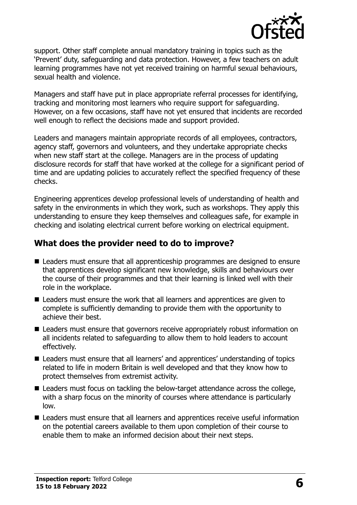

support. Other staff complete annual mandatory training in topics such as the 'Prevent' duty, safeguarding and data protection. However, a few teachers on adult learning programmes have not yet received training on harmful sexual behaviours, sexual health and violence.

Managers and staff have put in place appropriate referral processes for identifying, tracking and monitoring most learners who require support for safeguarding. However, on a few occasions, staff have not yet ensured that incidents are recorded well enough to reflect the decisions made and support provided.

Leaders and managers maintain appropriate records of all employees, contractors, agency staff, governors and volunteers, and they undertake appropriate checks when new staff start at the college. Managers are in the process of updating disclosure records for staff that have worked at the college for a significant period of time and are updating policies to accurately reflect the specified frequency of these checks.

Engineering apprentices develop professional levels of understanding of health and safety in the environments in which they work, such as workshops. They apply this understanding to ensure they keep themselves and colleagues safe, for example in checking and isolating electrical current before working on electrical equipment.

#### **What does the provider need to do to improve?**

- Leaders must ensure that all apprenticeship programmes are designed to ensure that apprentices develop significant new knowledge, skills and behaviours over the course of their programmes and that their learning is linked well with their role in the workplace.
- Leaders must ensure the work that all learners and apprentices are given to complete is sufficiently demanding to provide them with the opportunity to achieve their best.
- Leaders must ensure that governors receive appropriately robust information on all incidents related to safeguarding to allow them to hold leaders to account effectively.
- Leaders must ensure that all learners' and apprentices' understanding of topics related to life in modern Britain is well developed and that they know how to protect themselves from extremist activity.
- Leaders must focus on tackling the below-target attendance across the college, with a sharp focus on the minority of courses where attendance is particularly low.
- Leaders must ensure that all learners and apprentices receive useful information on the potential careers available to them upon completion of their course to enable them to make an informed decision about their next steps.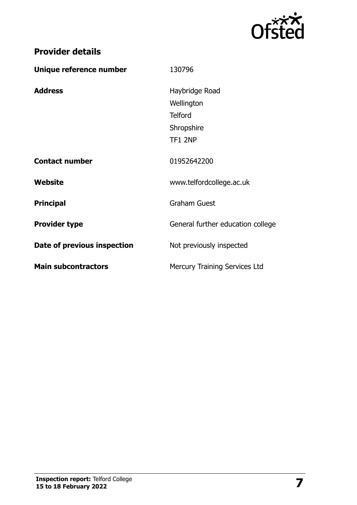

| Unique reference number     | 130796                               |
|-----------------------------|--------------------------------------|
| <b>Address</b>              | Haybridge Road                       |
|                             | Wellington                           |
|                             | <b>Telford</b>                       |
|                             | Shropshire                           |
|                             | <b>TF1 2NP</b>                       |
| <b>Contact number</b>       | 01952642200                          |
| Website                     | www.telfordcollege.ac.uk             |
| <b>Principal</b>            | <b>Graham Guest</b>                  |
| <b>Provider type</b>        | General further education college    |
| Date of previous inspection | Not previously inspected             |
| <b>Main subcontractors</b>  | <b>Mercury Training Services Ltd</b> |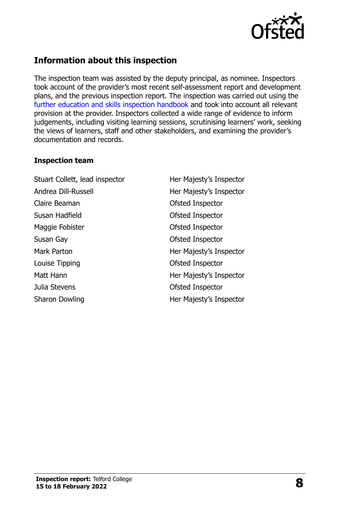

## **Information about this inspection**

The inspection team was assisted by the deputy principal, as nominee. Inspectors took account of the provider's most recent self-assessment report and development plans, and the previous inspection report. The inspection was carried out using the [further education and skills inspection handbook](http://www.gov.uk/government/publications/further-education-and-skills-inspection-handbook-eif) and took into account all relevant provision at the provider. Inspectors collected a wide range of evidence to inform judgements, including visiting learning sessions, scrutinising learners' work, seeking the views of learners, staff and other stakeholders, and examining the provider's documentation and records.

#### **Inspection team**

Stuart Collett, lead inspector **Her Majesty's Inspector** Andrea Dill-Russell **Her Majesty's Inspector** Claire Beaman Claire Beaman Claire Beaman Susan Hadfield **Contact Susan Hadfield Contact Susan Hadfield** Maggie Fobister **Calculation** Ofsted Inspector Susan Gay **Susan Gay Contract Contract Contract Contract Contract Contract Contract Contract Contract Contract Contract Contract Contract Contract Contract Contract Contract Contract Contract Contract Contract Contract Con** Mark Parton **Mark Parton Her Majesty's Inspector** Louise Tipping **Contact Contact Contact Contact Contact Contact Contact Contact Contact Contact Contact Contact Contact Contact Contact Contact Contact Contact Contact Contact Contact Contact Contact Contact Contact Contac** Matt Hann **Matt Hann** Her Majesty's Inspector Julia Stevens Ofsted Inspector Sharon Dowling **Her Majesty's Inspector**